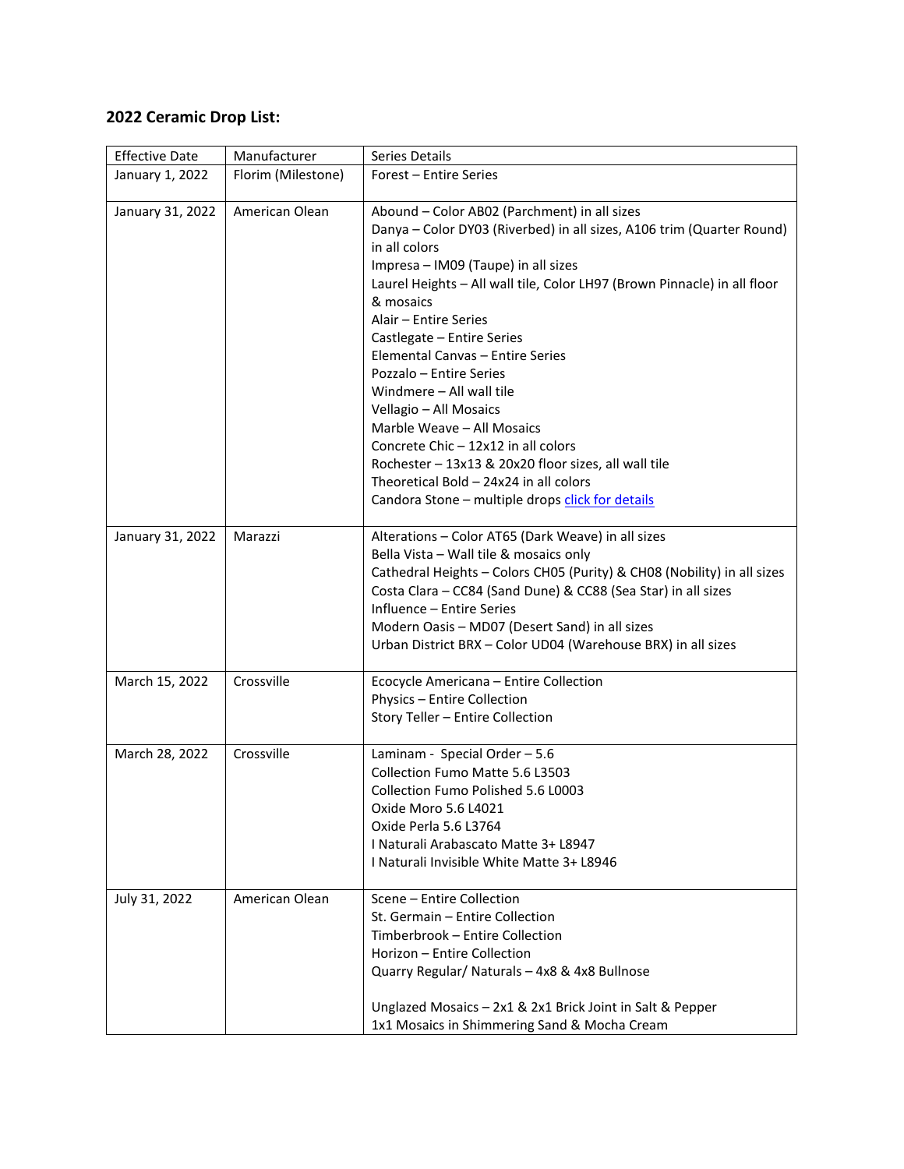## **2022 Ceramic Drop List:**

| <b>Effective Date</b> | Manufacturer       | Series Details                                                                                                                                                                                                                                                                                                                                                                                                                                                                                                                                                                                                                                                                |
|-----------------------|--------------------|-------------------------------------------------------------------------------------------------------------------------------------------------------------------------------------------------------------------------------------------------------------------------------------------------------------------------------------------------------------------------------------------------------------------------------------------------------------------------------------------------------------------------------------------------------------------------------------------------------------------------------------------------------------------------------|
| January 1, 2022       | Florim (Milestone) | Forest – Entire Series                                                                                                                                                                                                                                                                                                                                                                                                                                                                                                                                                                                                                                                        |
| January 31, 2022      | American Olean     | Abound - Color AB02 (Parchment) in all sizes<br>Danya - Color DY03 (Riverbed) in all sizes, A106 trim (Quarter Round)<br>in all colors<br>Impresa - IM09 (Taupe) in all sizes<br>Laurel Heights - All wall tile, Color LH97 (Brown Pinnacle) in all floor<br>& mosaics<br>Alair - Entire Series<br>Castlegate - Entire Series<br>Elemental Canvas - Entire Series<br>Pozzalo – Entire Series<br>Windmere - All wall tile<br>Vellagio - All Mosaics<br>Marble Weave - All Mosaics<br>Concrete Chic - 12x12 in all colors<br>Rochester - 13x13 & 20x20 floor sizes, all wall tile<br>Theoretical Bold - 24x24 in all colors<br>Candora Stone - multiple drops click for details |
| January 31, 2022      | Marazzi            | Alterations - Color AT65 (Dark Weave) in all sizes<br>Bella Vista - Wall tile & mosaics only<br>Cathedral Heights - Colors CH05 (Purity) & CH08 (Nobility) in all sizes<br>Costa Clara - CC84 (Sand Dune) & CC88 (Sea Star) in all sizes<br>Influence - Entire Series<br>Modern Oasis - MD07 (Desert Sand) in all sizes<br>Urban District BRX - Color UD04 (Warehouse BRX) in all sizes                                                                                                                                                                                                                                                                                       |
| March 15, 2022        | Crossville         | Ecocycle Americana - Entire Collection<br>Physics - Entire Collection<br>Story Teller - Entire Collection                                                                                                                                                                                                                                                                                                                                                                                                                                                                                                                                                                     |
| March 28, 2022        | Crossville         | Laminam - Special Order - 5.6<br>Collection Fumo Matte 5.6 L3503<br>Collection Fumo Polished 5.6 L0003<br>Oxide Moro 5.6 L4021<br>Oxide Perla 5.6 L3764<br>I Naturali Arabascato Matte 3+ L8947<br>I Naturali Invisible White Matte 3+ L8946                                                                                                                                                                                                                                                                                                                                                                                                                                  |
| July 31, 2022         | American Olean     | Scene - Entire Collection<br>St. Germain - Entire Collection<br>Timberbrook - Entire Collection<br>Horizon - Entire Collection<br>Quarry Regular/ Naturals - 4x8 & 4x8 Bullnose<br>Unglazed Mosaics - 2x1 & 2x1 Brick Joint in Salt & Pepper<br>1x1 Mosaics in Shimmering Sand & Mocha Cream                                                                                                                                                                                                                                                                                                                                                                                  |